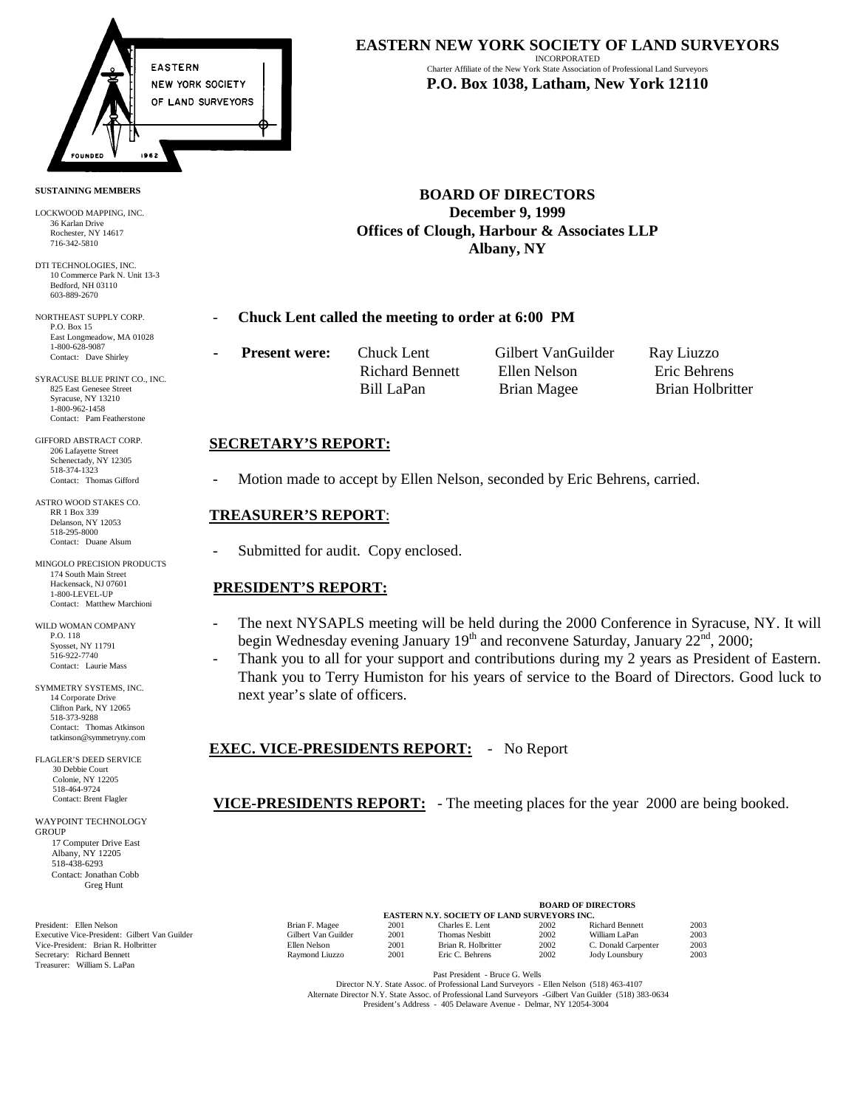

#### **SUSTAINING MEMBERS**

LOCKWOOD MAPPING, INC. 36 Karlan Drive Rochester, NY 14617 716-342-5810

DTI TECHNOLOGIES, INC. 10 Commerce Park N. Unit 13-3 Bedford, NH 03110 603-889-2670

NORTHEAST SUPPLY CORP. P.O. Box 15 East Longmeadow, MA 01028 1-800-628-9087 Contact: Dave Shirley

SYRACUSE BLUE PRINT CO., INC. 825 East Genesee Street Syracuse, NY 13210 1-800-962-1458 Contact: Pam Featherstone

GIFFORD ABSTRACT CORP. 206 Lafayette Street Schenectady, NY 12305 518-374-1323 Contact: Thomas Gifford

ASTRO WOOD STAKES CO. RR 1 Box 339 Delanson, NY 12053 518-295-8000 Contact: Duane Alsum

MINGOLO PRECISION PRODUCTS 174 South Main Street Hackensack, NJ 07601 1-800-LEVEL-UP Contact: Matthew Marchioni

WILD WOMAN COMPANY P.O. 118 Syosset, NY 11791 516-922-7740 Contact: Laurie Mass

SYMMETRY SYSTEMS, INC. 14 Corporate Drive Clifton Park, NY 12065 518-373-9288 Contact: Thomas Atkinson tatkinson@symmetryny.com

FLAGLER'S DEED SERVICE 30 Debbie Court Colonie, NY 12205 518-464-9724 Contact: Brent Flagler

WAYPOINT TECHNOLOGY **GROUP**  17 Computer Drive East Albany, NY 12205 518-438-6293 Contact: Jonathan Cobb Greg Hunt

Secretary: Richard Bennett 1988 (2003) Raymond Liuzzo 2001 Eric C. Behrens 2002 Jody Lounsbury 2003<br>Treasurer: William S. LaPan

### **EASTERN NEW YORK SOCIETY OF LAND SURVEYORS**

INCORPORATED Charter Affiliate of the New York State Association of Professional Land Surveyors **P.O. Box 1038, Latham, New York 12110**

**BOARD OF DIRECTORS December 9, 1999 Offices of Clough, Harbour & Associates LLP Albany, NY**

#### - **Chuck Lent called the meeting to order at 6:00 PM**

**Present were:** Chuck Lent Gilbert VanGuilder Ray Liuzzo

Richard Bennett Ellen Nelson Eric Behrens

Bill LaPan Brian Magee Brian Holbritter

### **SECRETARY'S REPORT:**

Motion made to accept by Ellen Nelson, seconded by Eric Behrens, carried.

### **TREASURER'S REPORT**:

Submitted for audit. Copy enclosed.

## **PRESIDENT'S REPORT:**

- The next NYSAPLS meeting will be held during the 2000 Conference in Syracuse, NY. It will begin Wednesday evening January  $19<sup>th</sup>$  and reconvene Saturday, January  $22<sup>nd</sup>$ ,  $2000$ ;
- Thank you to all for your support and contributions during my 2 years as President of Eastern. Thank you to Terry Humiston for his years of service to the Board of Directors. Good luck to next year's slate of officers.

 **EXEC. VICE-PRESIDENTS REPORT:** - No Report

**VICE-PRESIDENTS REPORT:** - The meeting places for the year 2000 are being booked.

|                                               |                                                    | <b>BOARD OF DIRECTORS</b> |                     |      |                        |      |
|-----------------------------------------------|----------------------------------------------------|---------------------------|---------------------|------|------------------------|------|
|                                               | <b>EASTERN N.Y. SOCIETY OF LAND SURVEYORS INC.</b> |                           |                     |      |                        |      |
| President: Ellen Nelson                       | Brian F. Magee                                     | 2001                      | Charles E. Lent     | 2002 | <b>Richard Bennett</b> | 2003 |
| Executive Vice-President: Gilbert Van Guilder | Gilbert Van Guilder                                | 2001                      | Thomas Nesbitt      | 2002 | William LaPan          | 2003 |
| Vice-President: Brian R. Holbritter           | Ellen Nelson                                       | 2001                      | Brian R. Holbritter | 2002 | C. Donald Carpenter    | 2003 |
| Secretary: Richard Bennett                    | Raymond Liuzzo                                     | 2001                      | Eric C. Behrens     | 2002 | Jody Lounsbury         | 2003 |

Past President - Bruce G. Wells

 Director N.Y. State Assoc. of Professional Land Surveyors - Ellen Nelson (518) 463-4107 Alternate Director N.Y. State Assoc. of Professional Land Surveyors -Gilbert Van Guilder (518) 383-0634 President's Address - 405 Delaware Avenue - Delmar, NY 12054-3004